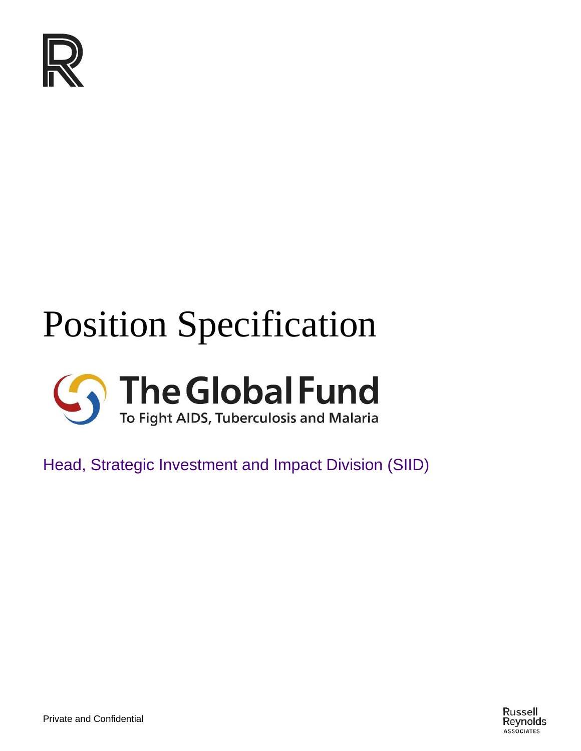

# Position Specification



Head, Strategic Investment and Impact Division (SIID)

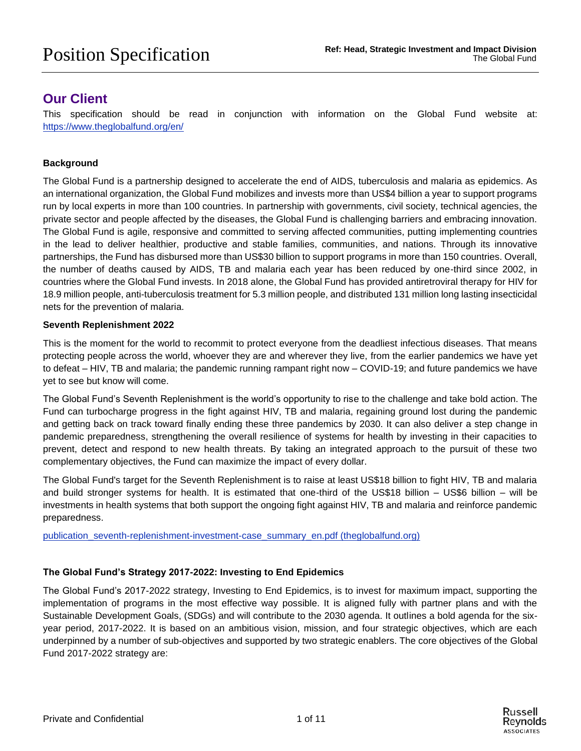## **Our Client**

This specification should be read in conjunction with information on the Global Fund website at: <https://www.theglobalfund.org/en/>

#### **Background**

The Global Fund is a partnership designed to accelerate the end of AIDS, tuberculosis and malaria as epidemics. As an international organization, the Global Fund mobilizes and invests more than US\$4 billion a year to support programs run by local experts in more than 100 countries. In partnership with governments, civil society, technical agencies, the private sector and people affected by the diseases, the Global Fund is challenging barriers and embracing innovation. The Global Fund is agile, responsive and committed to serving affected communities, putting implementing countries in the lead to deliver healthier, productive and stable families, communities, and nations. Through its innovative partnerships, the Fund has disbursed more than US\$30 billion to support programs in more than 150 countries. Overall, the number of deaths caused by AIDS, TB and malaria each year has been reduced by one-third since 2002, in countries where the Global Fund invests. In 2018 alone, the Global Fund has provided antiretroviral therapy for HIV for 18.9 million people, anti-tuberculosis treatment for 5.3 million people, and distributed 131 million long lasting insecticidal nets for the prevention of malaria.

#### **Seventh Replenishment 2022**

This is the moment for the world to recommit to protect everyone from the deadliest infectious diseases. That means protecting people across the world, whoever they are and wherever they live, from the earlier pandemics we have yet to defeat – HIV, TB and malaria; the pandemic running rampant right now – COVID-19; and future pandemics we have yet to see but know will come.

The Global Fund's Seventh Replenishment is the world's opportunity to rise to the challenge and take bold action. The Fund can turbocharge progress in the fight against HIV, TB and malaria, regaining ground lost during the pandemic and getting back on track toward finally ending these three pandemics by 2030. It can also deliver a step change in pandemic preparedness, strengthening the overall resilience of systems for health by investing in their capacities to prevent, detect and respond to new health threats. By taking an integrated approach to the pursuit of these two complementary objectives, the Fund can maximize the impact of every dollar.

The Global Fund's target for the Seventh Replenishment is to raise at least US\$18 billion to fight HIV, TB and malaria and build stronger systems for health. It is estimated that one-third of the US\$18 billion – US\$6 billion – will be investments in health systems that both support the ongoing fight against HIV, TB and malaria and reinforce pandemic preparedness.

[publication\\_seventh-replenishment-investment-case\\_summary\\_en.pdf \(theglobalfund.org\)](https://www.theglobalfund.org/media/11784/publication_seventh-replenishment-investment-case_summary_en.pdf)

#### **The Global Fund's Strategy 2017-2022: Investing to End Epidemics**

The Global Fund's 2017-2022 strategy, Investing to End Epidemics, is to invest for maximum impact, supporting the implementation of programs in the most effective way possible. It is aligned fully with partner plans and with the Sustainable Development Goals, (SDGs) and will contribute to the 2030 agenda. It outlines a bold agenda for the sixyear period, 2017-2022. It is based on an ambitious vision, mission, and four strategic objectives, which are each underpinned by a number of sub-objectives and supported by two strategic enablers. The core objectives of the Global Fund 2017-2022 strategy are: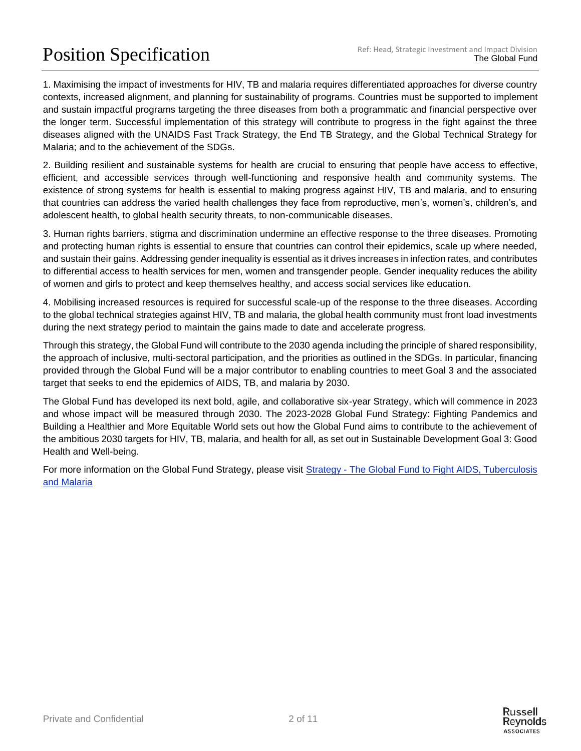# Position Specification Ref: Head, Strategic Investment and Impact Division<br>The Global Fund

1. Maximising the impact of investments for HIV, TB and malaria requires differentiated approaches for diverse country contexts, increased alignment, and planning for sustainability of programs. Countries must be supported to implement and sustain impactful programs targeting the three diseases from both a programmatic and financial perspective over the longer term. Successful implementation of this strategy will contribute to progress in the fight against the three diseases aligned with the UNAIDS Fast Track Strategy, the End TB Strategy, and the Global Technical Strategy for Malaria; and to the achievement of the SDGs.

2. Building resilient and sustainable systems for health are crucial to ensuring that people have access to effective, efficient, and accessible services through well-functioning and responsive health and community systems. The existence of strong systems for health is essential to making progress against HIV, TB and malaria, and to ensuring that countries can address the varied health challenges they face from reproductive, men's, women's, children's, and adolescent health, to global health security threats, to non-communicable diseases.

3. Human rights barriers, stigma and discrimination undermine an effective response to the three diseases. Promoting and protecting human rights is essential to ensure that countries can control their epidemics, scale up where needed, and sustain their gains. Addressing gender inequality is essential as it drives increases in infection rates, and contributes to differential access to health services for men, women and transgender people. Gender inequality reduces the ability of women and girls to protect and keep themselves healthy, and access social services like education.

4. Mobilising increased resources is required for successful scale-up of the response to the three diseases. According to the global technical strategies against HIV, TB and malaria, the global health community must front load investments during the next strategy period to maintain the gains made to date and accelerate progress.

Through this strategy, the Global Fund will contribute to the 2030 agenda including the principle of shared responsibility, the approach of inclusive, multi-sectoral participation, and the priorities as outlined in the SDGs. In particular, financing provided through the Global Fund will be a major contributor to enabling countries to meet Goal 3 and the associated target that seeks to end the epidemics of AIDS, TB, and malaria by 2030.

The Global Fund has developed its next bold, agile, and collaborative six-year Strategy, which will commence in 2023 and whose impact will be measured through 2030. The 2023-2028 Global Fund Strategy: Fighting Pandemics and Building a Healthier and More Equitable World sets out how the Global Fund aims to contribute to the achievement of the ambitious 2030 targets for HIV, TB, malaria, and health for all, as set out in Sustainable Development Goal 3: Good Health and Well-being.

For more information on the Global Fund Strategy, please visit Strategy - The Global Fund to Fight AIDS, Tuberculosis [and Malaria](https://www.theglobalfund.org/en/strategy/)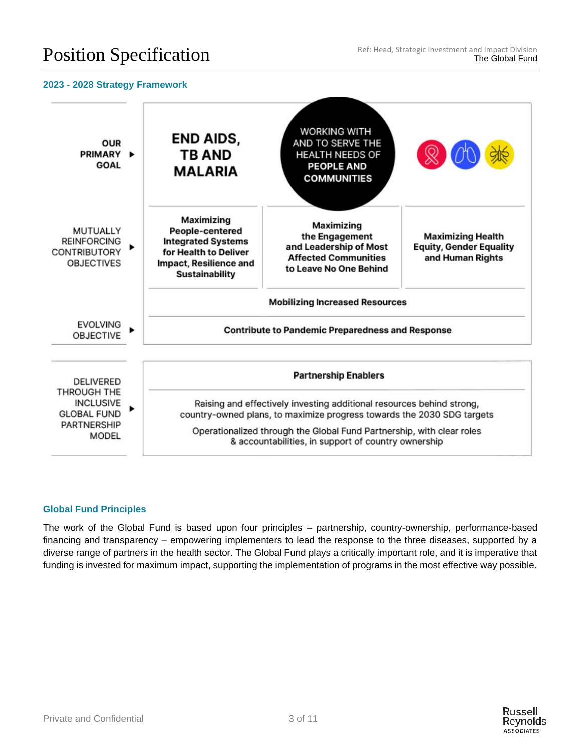#### **2023 - 2028 Strategy Framework**



#### **Global Fund Principles**

The work of the Global Fund is based upon four principles – partnership, country-ownership, performance-based financing and transparency – empowering implementers to lead the response to the three diseases, supported by a diverse range of partners in the health sector. The Global Fund plays a critically important role, and it is imperative that funding is invested for maximum impact, supporting the implementation of programs in the most effective way possible.

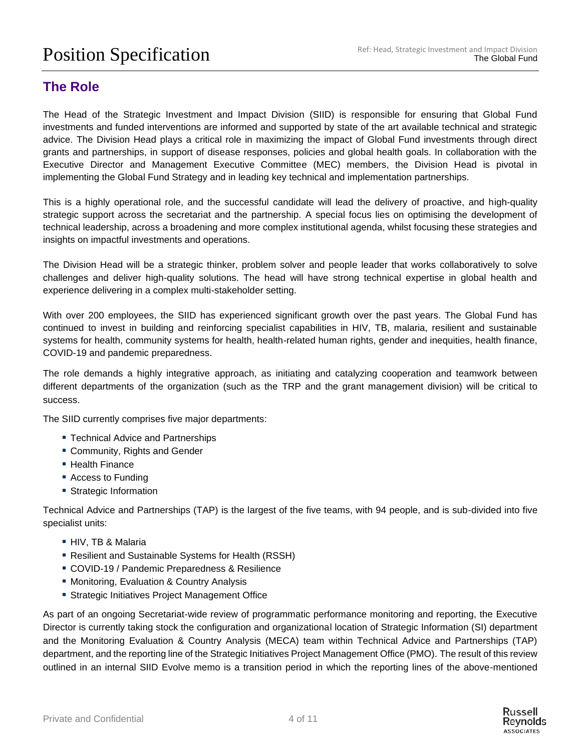## **The Role**

The Head of the Strategic Investment and Impact Division (SIID) is responsible for ensuring that Global Fund investments and funded interventions are informed and supported by state of the art available technical and strategic advice. The Division Head plays a critical role in maximizing the impact of Global Fund investments through direct grants and partnerships, in support of disease responses, policies and global health goals. In collaboration with the Executive Director and Management Executive Committee (MEC) members, the Division Head is pivotal in implementing the Global Fund Strategy and in leading key technical and implementation partnerships.

This is a highly operational role, and the successful candidate will lead the delivery of proactive, and high-quality strategic support across the secretariat and the partnership. A special focus lies on optimising the development of technical leadership, across a broadening and more complex institutional agenda, whilst focusing these strategies and insights on impactful investments and operations.

The Division Head will be a strategic thinker, problem solver and people leader that works collaboratively to solve challenges and deliver high-quality solutions. The head will have strong technical expertise in global health and experience delivering in a complex multi-stakeholder setting.

With over 200 employees, the SIID has experienced significant growth over the past years. The Global Fund has continued to invest in building and reinforcing specialist capabilities in HIV, TB, malaria, resilient and sustainable systems for health, community systems for health, health-related human rights, gender and inequities, health finance, COVID-19 and pandemic preparedness.

The role demands a highly integrative approach, as initiating and catalyzing cooperation and teamwork between different departments of the organization (such as the TRP and the grant management division) will be critical to success.

The SIID currently comprises five major departments:

- Technical Advice and Partnerships
- Community, Rights and Gender
- Health Finance
- Access to Funding
- Strategic Information

Technical Advice and Partnerships (TAP) is the largest of the five teams, with 94 people, and is sub-divided into five specialist units:

- HIV, TB & Malaria
- Resilient and Sustainable Systems for Health (RSSH)
- **E** COVID-19 / Pandemic Preparedness & Resilience
- Monitoring, Evaluation & Country Analysis
- **Example:** Strategic Initiatives Project Management Office

As part of an ongoing Secretariat-wide review of programmatic performance monitoring and reporting, the Executive Director is currently taking stock the configuration and organizational location of Strategic Information (SI) department and the Monitoring Evaluation & Country Analysis (MECA) team within Technical Advice and Partnerships (TAP) department, and the reporting line of the Strategic Initiatives Project Management Office (PMO). The result of this review outlined in an internal SIID Evolve memo is a transition period in which the reporting lines of the above-mentioned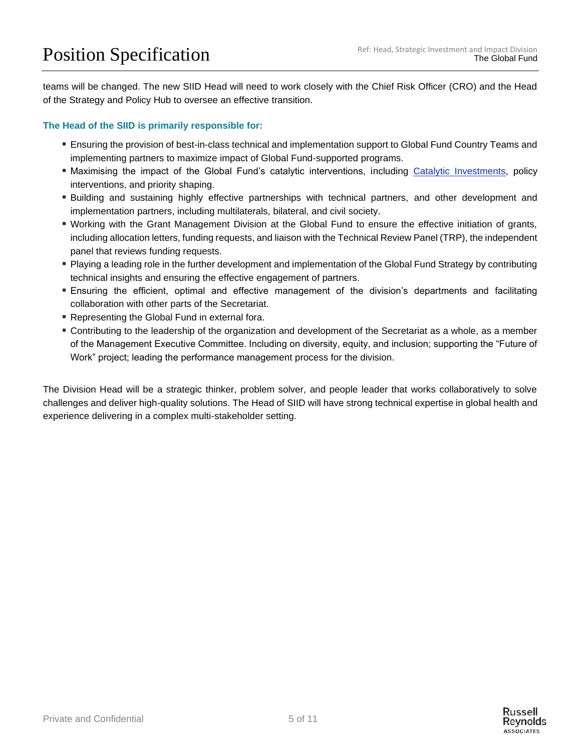teams will be changed. The new SIID Head will need to work closely with the Chief Risk Officer (CRO) and the Head of the Strategy and Policy Hub to oversee an effective transition.

#### **The Head of the SIID is primarily responsible for:**

- Ensuring the provision of best-in-class technical and implementation support to Global Fund Country Teams and implementing partners to maximize impact of Global Fund-supported programs.
- **Maximising the impact of the Global Fund's catalytic interventions, including [Catalytic Investments,](https://www.theglobalfund.org/en/funding-model/before-applying/catalytic-investments/) policy** interventions, and priority shaping.
- Building and sustaining highly effective partnerships with technical partners, and other development and implementation partners, including multilaterals, bilateral, and civil society.
- Working with the Grant Management Division at the Global Fund to ensure the effective initiation of grants, including allocation letters, funding requests, and liaison with the Technical Review Panel (TRP), the independent panel that reviews funding requests.
- Playing a leading role in the further development and implementation of the Global Fund Strategy by contributing technical insights and ensuring the effective engagement of partners.
- **Ensuring the efficient, optimal and effective management of the division's departments and facilitating** collaboration with other parts of the Secretariat.
- Representing the Global Fund in external fora.
- Contributing to the leadership of the organization and development of the Secretariat as a whole, as a member of the Management Executive Committee. Including on diversity, equity, and inclusion; supporting the "Future of Work" project; leading the performance management process for the division.

The Division Head will be a strategic thinker, problem solver, and people leader that works collaboratively to solve challenges and deliver high-quality solutions. The Head of SIID will have strong technical expertise in global health and experience delivering in a complex multi-stakeholder setting.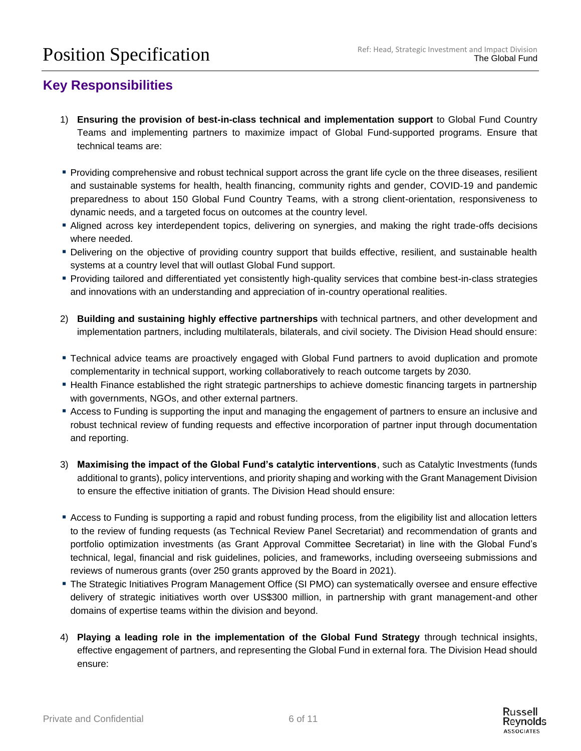## **Key Responsibilities**

- 1) **Ensuring the provision of best-in-class technical and implementation support** to Global Fund Country Teams and implementing partners to maximize impact of Global Fund-supported programs. Ensure that technical teams are:
- Providing comprehensive and robust technical support across the grant life cycle on the three diseases, resilient and sustainable systems for health, health financing, community rights and gender, COVID-19 and pandemic preparedness to about 150 Global Fund Country Teams, with a strong client-orientation, responsiveness to dynamic needs, and a targeted focus on outcomes at the country level.
- **Example 2** Aligned across key interdependent topics, delivering on synergies, and making the right trade-offs decisions where needed.
- Delivering on the objective of providing country support that builds effective, resilient, and sustainable health systems at a country level that will outlast Global Fund support.
- Providing tailored and differentiated yet consistently high-quality services that combine best-in-class strategies and innovations with an understanding and appreciation of in-country operational realities.
- 2) **Building and sustaining highly effective partnerships** with technical partners, and other development and implementation partners, including multilaterals, bilaterals, and civil society. The Division Head should ensure:
- Technical advice teams are proactively engaged with Global Fund partners to avoid duplication and promote complementarity in technical support, working collaboratively to reach outcome targets by 2030.
- Health Finance established the right strategic partnerships to achieve domestic financing targets in partnership with governments, NGOs, and other external partners.
- Access to Funding is supporting the input and managing the engagement of partners to ensure an inclusive and robust technical review of funding requests and effective incorporation of partner input through documentation and reporting.
- 3) **Maximising the impact of the Global Fund's catalytic interventions**, such as Catalytic Investments (funds additional to grants), policy interventions, and priority shaping and working with the Grant Management Division to ensure the effective initiation of grants. The Division Head should ensure:
- Access to Funding is supporting a rapid and robust funding process, from the eligibility list and allocation letters to the review of funding requests (as Technical Review Panel Secretariat) and recommendation of grants and portfolio optimization investments (as Grant Approval Committee Secretariat) in line with the Global Fund's technical, legal, financial and risk guidelines, policies, and frameworks, including overseeing submissions and reviews of numerous grants (over 250 grants approved by the Board in 2021).
- **The Strategic Initiatives Program Management Office (SI PMO) can systematically oversee and ensure effective** delivery of strategic initiatives worth over US\$300 million, in partnership with grant management-and other domains of expertise teams within the division and beyond.
- 4) **Playing a leading role in the implementation of the Global Fund Strategy** through technical insights, effective engagement of partners, and representing the Global Fund in external fora. The Division Head should ensure: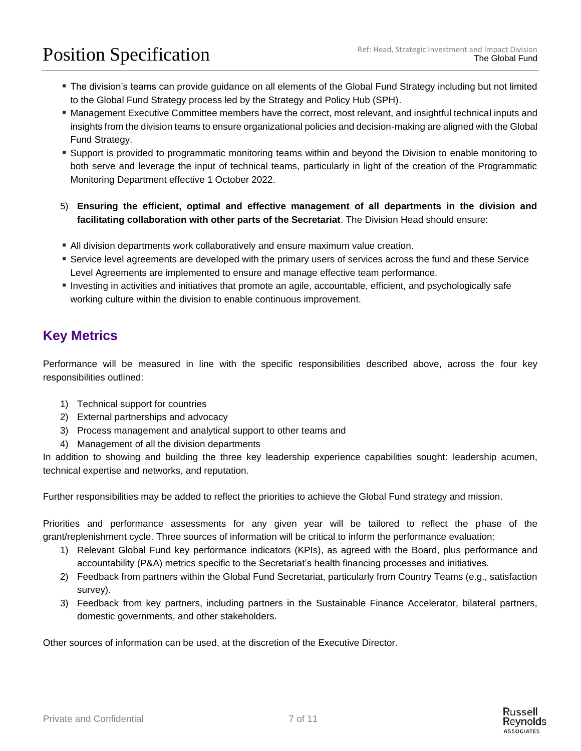# Position Specification Ref: Head, Strategic Investment and Impact Division<br>The Global Fund

- The division's teams can provide guidance on all elements of the Global Fund Strategy including but not limited to the Global Fund Strategy process led by the Strategy and Policy Hub (SPH).
- Management Executive Committee members have the correct, most relevant, and insightful technical inputs and insights from the division teams to ensure organizational policies and decision-making are aligned with the Global Fund Strategy.
- Support is provided to programmatic monitoring teams within and beyond the Division to enable monitoring to both serve and leverage the input of technical teams, particularly in light of the creation of the Programmatic Monitoring Department effective 1 October 2022.
- 5) **Ensuring the efficient, optimal and effective management of all departments in the division and facilitating collaboration with other parts of the Secretariat**. The Division Head should ensure:
- **I** All division departments work collaboratively and ensure maximum value creation.
- **EXECT Service level agreements are developed with the primary users of services across the fund and these Service** Level Agreements are implemented to ensure and manage effective team performance.
- Investing in activities and initiatives that promote an agile, accountable, efficient, and psychologically safe working culture within the division to enable continuous improvement.

## **Key Metrics**

Performance will be measured in line with the specific responsibilities described above, across the four key responsibilities outlined:

- 1) Technical support for countries
- 2) External partnerships and advocacy
- 3) Process management and analytical support to other teams and
- 4) Management of all the division departments

In addition to showing and building the three key leadership experience capabilities sought: leadership acumen, technical expertise and networks, and reputation.

Further responsibilities may be added to reflect the priorities to achieve the Global Fund strategy and mission.

Priorities and performance assessments for any given year will be tailored to reflect the phase of the grant/replenishment cycle. Three sources of information will be critical to inform the performance evaluation:

- 1) Relevant Global Fund key performance indicators (KPIs), as agreed with the Board, plus performance and accountability (P&A) metrics specific to the Secretariat's health financing processes and initiatives.
- 2) Feedback from partners within the Global Fund Secretariat, particularly from Country Teams (e.g., satisfaction survey).
- 3) Feedback from key partners, including partners in the Sustainable Finance Accelerator, bilateral partners, domestic governments, and other stakeholders.

Other sources of information can be used, at the discretion of the Executive Director.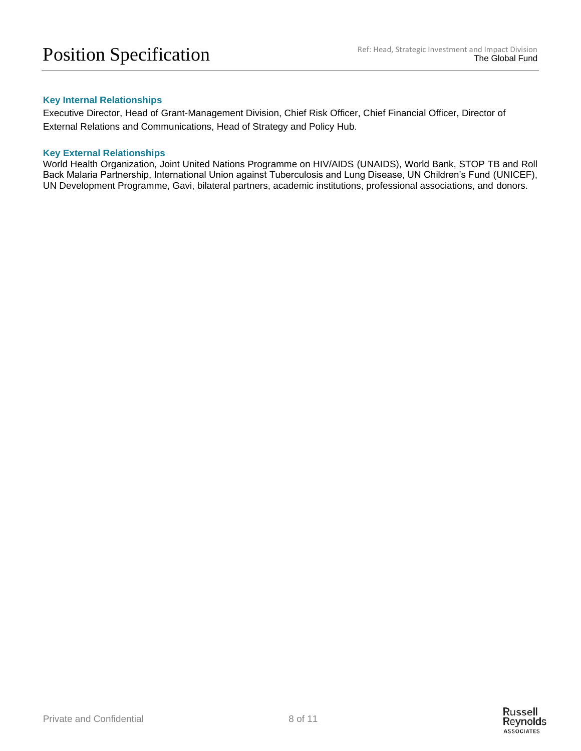#### **Key Internal Relationships**

Executive Director, Head of Grant-Management Division, Chief Risk Officer, Chief Financial Officer, Director of External Relations and Communications, Head of Strategy and Policy Hub.

#### **Key External Relationships**

World Health Organization, Joint United Nations Programme on HIV/AIDS (UNAIDS), World Bank, STOP TB and Roll Back Malaria Partnership, International Union against Tuberculosis and Lung Disease, UN Children's Fund (UNICEF), UN Development Programme, Gavi, bilateral partners, academic institutions, professional associations, and donors.

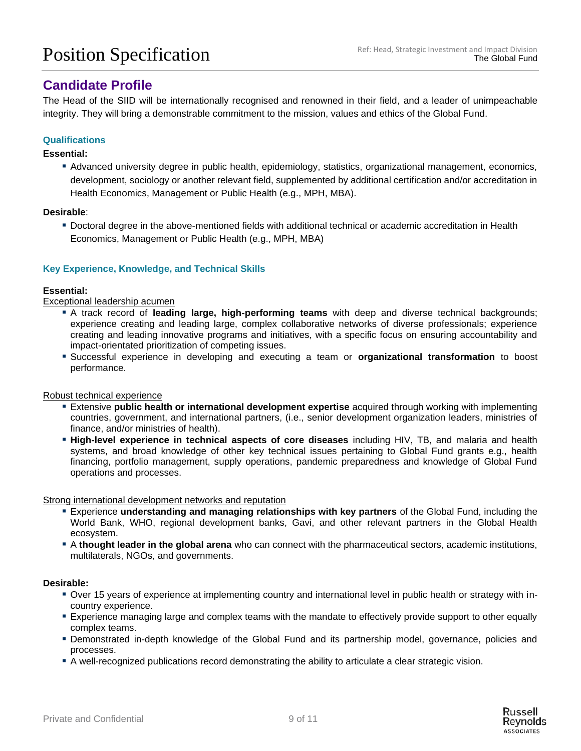## **Candidate Profile**

The Head of the SIID will be internationally recognised and renowned in their field, and a leader of unimpeachable integrity. They will bring a demonstrable commitment to the mission, values and ethics of the Global Fund.

#### **Qualifications**

#### **Essential:**

▪ Advanced university degree in public health, epidemiology, statistics, organizational management, economics, development, sociology or another relevant field, supplemented by additional certification and/or accreditation in Health Economics, Management or Public Health (e.g., MPH, MBA).

#### **Desirable**:

▪ Doctoral degree in the above-mentioned fields with additional technical or academic accreditation in Health Economics, Management or Public Health (e.g., MPH, MBA)

#### **Key Experience, Knowledge, and Technical Skills**

#### **Essential:**

Exceptional leadership acumen

- A track record of **leading large, high-performing teams** with deep and diverse technical backgrounds; experience creating and leading large, complex collaborative networks of diverse professionals; experience creating and leading innovative programs and initiatives, with a specific focus on ensuring accountability and impact-orientated prioritization of competing issues.
- Successful experience in developing and executing a team or **organizational transformation** to boost performance.

#### Robust technical experience

- **Extensive public health or international development expertise** acquired through working with implementing countries, government, and international partners, (i.e., senior development organization leaders, ministries of finance, and/or ministries of health).
- **High-level experience in technical aspects of core diseases** including HIV, TB, and malaria and health systems, and broad knowledge of other key technical issues pertaining to Global Fund grants e.g., health financing, portfolio management, supply operations, pandemic preparedness and knowledge of Global Fund operations and processes.

Strong international development networks and reputation

- Experience **understanding and managing relationships with key partners** of the Global Fund, including the World Bank, WHO, regional development banks, Gavi, and other relevant partners in the Global Health ecosystem.
- A **thought leader in the global arena** who can connect with the pharmaceutical sectors, academic institutions, multilaterals, NGOs, and governments.

#### **Desirable:**

- Over 15 years of experience at implementing country and international level in public health or strategy with incountry experience.
- Experience managing large and complex teams with the mandate to effectively provide support to other equally complex teams.
- Demonstrated in-depth knowledge of the Global Fund and its partnership model, governance, policies and processes.
- A well-recognized publications record demonstrating the ability to articulate a clear strategic vision.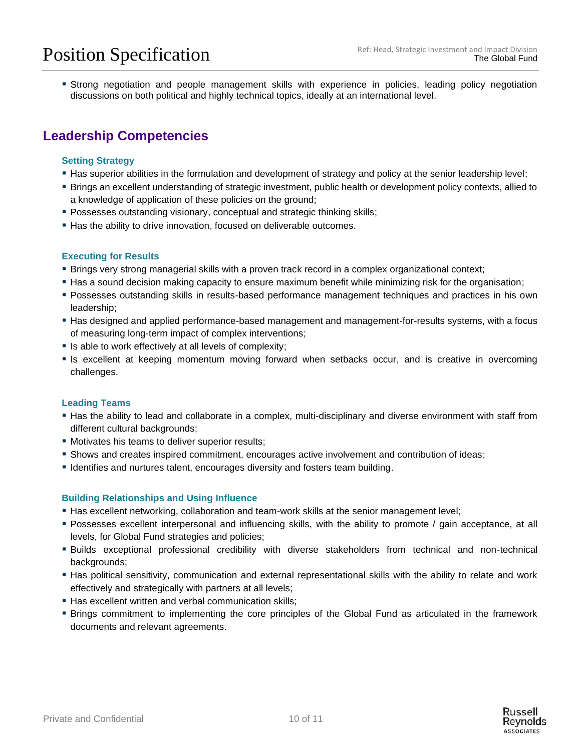**Example 1** Strong negotiation and people management skills with experience in policies, leading policy negotiation discussions on both political and highly technical topics, ideally at an international level.

## **Leadership Competencies**

#### **Setting Strategy**

- Has superior abilities in the formulation and development of strategy and policy at the senior leadership level;
- Brings an excellent understanding of strategic investment, public health or development policy contexts, allied to a knowledge of application of these policies on the ground;
- **Possesses outstanding visionary, conceptual and strategic thinking skills;**
- **.** Has the ability to drive innovation, focused on deliverable outcomes.

#### **Executing for Results**

- Brings very strong managerial skills with a proven track record in a complex organizational context;
- Has a sound decision making capacity to ensure maximum benefit while minimizing risk for the organisation;
- **Possesses outstanding skills in results-based performance management techniques and practices in his own** leadership;
- **Has designed and applied performance-based management and management-for-results systems, with a focus** of measuring long-term impact of complex interventions;
- **E** Is able to work effectively at all levels of complexity;
- **E** Is excellent at keeping momentum moving forward when setbacks occur, and is creative in overcoming challenges.

#### **Leading Teams**

- **EXT** Has the ability to lead and collaborate in a complex, multi-disciplinary and diverse environment with staff from different cultural backgrounds;
- **Motivates his teams to deliver superior results;**
- **Shows and creates inspired commitment, encourages active involvement and contribution of ideas;**
- Identifies and nurtures talent, encourages diversity and fosters team building.

#### **Building Relationships and Using Influence**

- **Has excellent networking, collaboration and team-work skills at the senior management level;**
- Possesses excellent interpersonal and influencing skills, with the ability to promote / gain acceptance, at all levels, for Global Fund strategies and policies;
- Builds exceptional professional credibility with diverse stakeholders from technical and non-technical backgrounds;
- Has political sensitivity, communication and external representational skills with the ability to relate and work effectively and strategically with partners at all levels;
- **EXTER:** Has excellent written and verbal communication skills;
- Brings commitment to implementing the core principles of the Global Fund as articulated in the framework documents and relevant agreements.